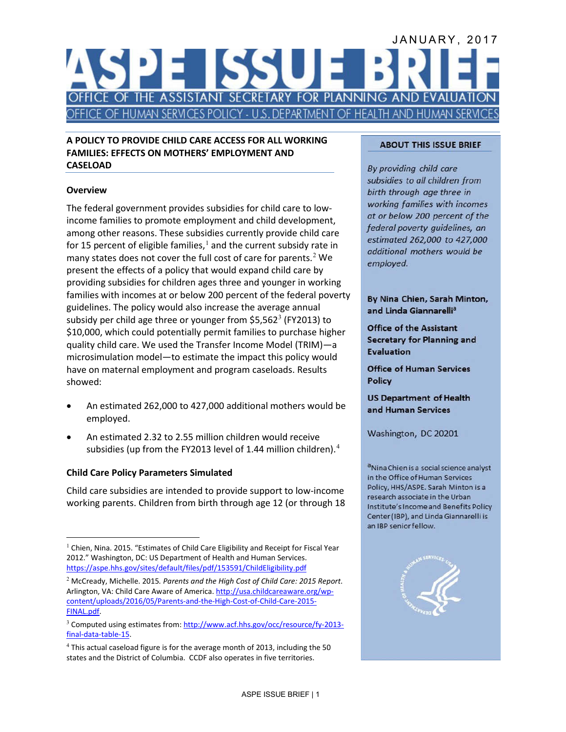# JANUARY, 2017 SU **III.** FICE OF THE ASSISTANT SECRETARY FOR PLANNING AND EVALUAT CE OF HUMAN SERVICES POLICY - U.S. DEPARTMENT OF HEALTH AND HUMAN SERVIC

#### **A POLICY TO PROVIDE CHILD CARE ACCESS FOR ALL WORKING FAMILIES: EFFECTS ON MOTHERS' EMPLOYMENT AND CASELOAD**

# **Overview**

The federal government provides subsidies for child care to lowincome families to promote employment and child development, among other reasons. These subsidies currently provide child care for [1](#page-0-0)5 percent of eligible families,  $^1$  and the current subsidy rate in many states does not cover the full cost of care for parents.<sup>[2](#page-0-1)</sup> We present the effects of a policy that would expand child care by providing subsidies for children ages three and younger in working families with incomes at or below 200 percent of the federal poverty guidelines. The policy would also increase the average annual subsidy per child age three or younger from  $$5,562^3$  $$5,562^3$  (FY2013) to \$10,000, which could potentially permit families to purchase higher quality child care. We used the Transfer Income Model (TRIM)—a microsimulation model—to estimate the impact this policy would have on maternal employment and program caseloads. Results showed:

- An estimated 262,000 to 427,000 additional mothers would be employed.
- An estimated 2.32 to 2.55 million children would receive subsidies (up from the FY2013 level of 1.[4](#page-0-3)4 million children). $4$

## **Child Care Policy Parameters Simulated**

Child care subsidies are intended to provide support to low-income working parents. Children from birth through age 12 (or through 18

#### **ABOUT THIS ISSUE BRIEF**

By providing child care subsidies to all children from birth through age three in working families with incomes at or below 200 percent of the federal poverty guidelines, an estimated 262,000 to 427,000 additional mothers would be employed.

By Nina Chien, Sarah Minton, and Linda Giannarelli<sup>a</sup>

**Office of the Assistant Secretary for Planning and Evaluation** 

**Office of Human Services Policy** 

**US Department of Health** and Human Services

Washington, DC 20201

<sup>a</sup>Nina Chien is a social science analyst in the Office of Human Services Policy, HHS/ASPE. Sarah Minton is a research associate in the Urban Institute's Income and Benefits Policy Center (IBP), and Linda Giannarelli is an IBP senior fellow.



<span id="page-0-0"></span><sup>&</sup>lt;sup>1</sup> Chien, Nina. 2015. "Estimates of Child Care Eligibility and Receipt for Fiscal Year 2012." Washington, DC: US Department of Health and Human Services. <https://aspe.hhs.gov/sites/default/files/pdf/153591/ChildEligibility.pdf>  $\overline{a}$ 

<span id="page-0-1"></span><sup>2</sup> McCready, Michelle. 2015*. Parents and the High Cost of Child Care: 2015 Report*. Arlington, VA: Child Care Aware of America. [http://usa.childcareaware.org/wp](http://usa.childcareaware.org/wp-content/uploads/2016/05/Parents-and-the-High-Cost-of-Child-Care-2015-FINAL.pdf)[content/uploads/2016/05/Parents-and-the-High-Cost-of-Child-Care-2015-](http://usa.childcareaware.org/wp-content/uploads/2016/05/Parents-and-the-High-Cost-of-Child-Care-2015-FINAL.pdf) [FINAL.pdf.](http://usa.childcareaware.org/wp-content/uploads/2016/05/Parents-and-the-High-Cost-of-Child-Care-2015-FINAL.pdf) 

<span id="page-0-2"></span><sup>&</sup>lt;sup>3</sup> Computed using estimates from[: http://www.acf.hhs.gov/occ/resource/fy-2013](http://www.acf.hhs.gov/occ/resource/fy-2013-final-data-table-15) [final-data-table-15.](http://www.acf.hhs.gov/occ/resource/fy-2013-final-data-table-15) 

<span id="page-0-3"></span><sup>&</sup>lt;sup>4</sup> This actual caseload figure is for the average month of 2013, including the 50 states and the District of Columbia. CCDF also operates in five territories.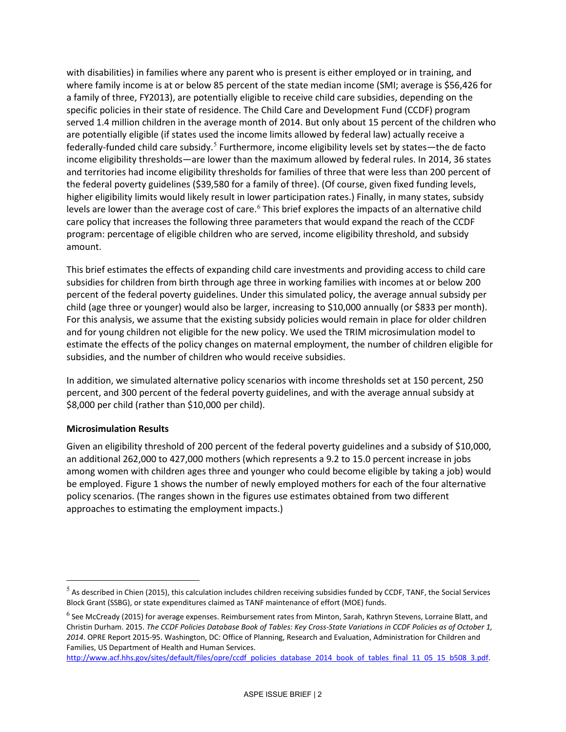with disabilities) in families where any parent who is present is either employed or in training, and where family income is at or below 85 percent of the state median income (SMI; average is \$56,426 for a family of three, FY2013), are potentially eligible to receive child care subsidies, depending on the specific policies in their state of residence. The Child Care and Development Fund (CCDF) program served 1.4 million children in the average month of 2014. But only about 15 percent of the children who are potentially eligible (if states used the income limits allowed by federal law) actually receive a federally-funded child care subsidy.<sup>[5](#page-1-0)</sup> Furthermore, income eligibility levels set by states—the de facto income eligibility thresholds—are lower than the maximum allowed by federal rules. In 2014, 36 states and territories had income eligibility thresholds for families of three that were less than 200 percent of the federal poverty guidelines (\$39,580 for a family of three). (Of course, given fixed funding levels, higher eligibility limits would likely result in lower participation rates.) Finally, in many states, subsidy levels are lower than the average cost of care.<sup>[6](#page-1-1)</sup> This brief explores the impacts of an alternative child care policy that increases the following three parameters that would expand the reach of the CCDF program: percentage of eligible children who are served, income eligibility threshold, and subsidy amount.

This brief estimates the effects of expanding child care investments and providing access to child care subsidies for children from birth through age three in working families with incomes at or below 200 percent of the federal poverty guidelines. Under this simulated policy, the average annual subsidy per child (age three or younger) would also be larger, increasing to \$10,000 annually (or \$833 per month). For this analysis, we assume that the existing subsidy policies would remain in place for older children and for young children not eligible for the new policy. We used the TRIM microsimulation model to estimate the effects of the policy changes on maternal employment, the number of children eligible for subsidies, and the number of children who would receive subsidies.

In addition, we simulated alternative policy scenarios with income thresholds set at 150 percent, 250 percent, and 300 percent of the federal poverty guidelines, and with the average annual subsidy at \$8,000 per child (rather than \$10,000 per child).

## **Microsimulation Results**

 $\overline{a}$ 

Given an eligibility threshold of 200 percent of the federal poverty guidelines and a subsidy of \$10,000, an additional 262,000 to 427,000 mothers (which represents a 9.2 to 15.0 percent increase in jobs among women with children ages three and younger who could become eligible by taking a job) would be employed. Figure 1 shows the number of newly employed mothers for each of the four alternative policy scenarios. (The ranges shown in the figures use estimates obtained from two different approaches to estimating the employment impacts.)

<span id="page-1-0"></span> $<sup>5</sup>$  As described in Chien (2015), this calculation includes children receiving subsidies funded by CCDF, TANF, the Social Services</sup> Block Grant (SSBG), or state expenditures claimed as TANF maintenance of effort (MOE) funds.

<span id="page-1-1"></span> $^6$  See McCready (2015) for average expenses. Reimbursement rates from Minton, Sarah, Kathryn Stevens, Lorraine Blatt, and Christin Durham. 2015. *The CCDF Policies Database Book of Tables: Key Cross-State Variations in CCDF Policies as of October 1, 2014*. OPRE Report 2015-95. Washington, DC: Office of Planning, Research and Evaluation, Administration for Children and Families, US Department of Health and Human Services.

http://www.acf.hhs.gov/sites/default/files/opre/ccdf\_policies\_database\_2014\_book\_of\_tables\_final\_11\_05\_15\_b508\_3.pdf.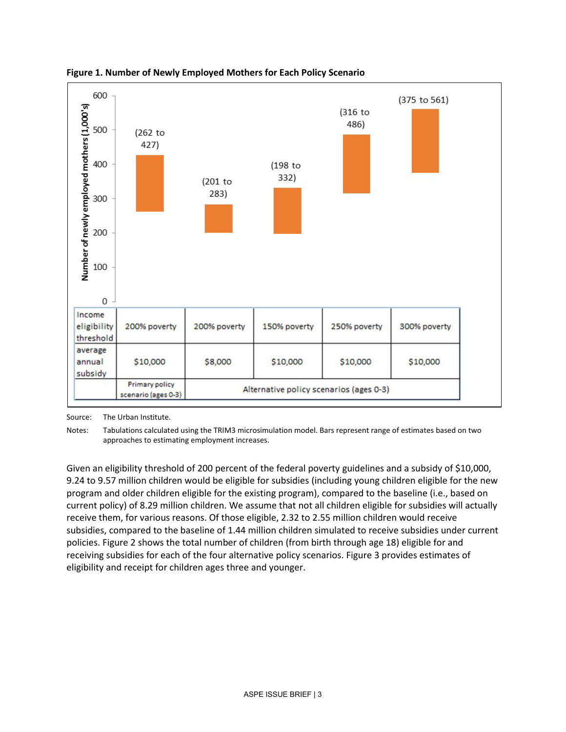



Source: The Urban Institute.

Notes: Tabulations calculated using the TRIM3 microsimulation model. Bars represent range of estimates based on two approaches to estimating employment increases.

Given an eligibility threshold of 200 percent of the federal poverty guidelines and a subsidy of \$10,000, 9.24 to 9.57 million children would be eligible for subsidies (including young children eligible for the new program and older children eligible for the existing program), compared to the baseline (i.e., based on current policy) of 8.29 million children. We assume that not all children eligible for subsidies will actually receive them, for various reasons. Of those eligible, 2.32 to 2.55 million children would receive subsidies, compared to the baseline of 1.44 million children simulated to receive subsidies under current policies. Figure 2 shows the total number of children (from birth through age 18) eligible for and receiving subsidies for each of the four alternative policy scenarios. Figure 3 provides estimates of eligibility and receipt for children ages three and younger.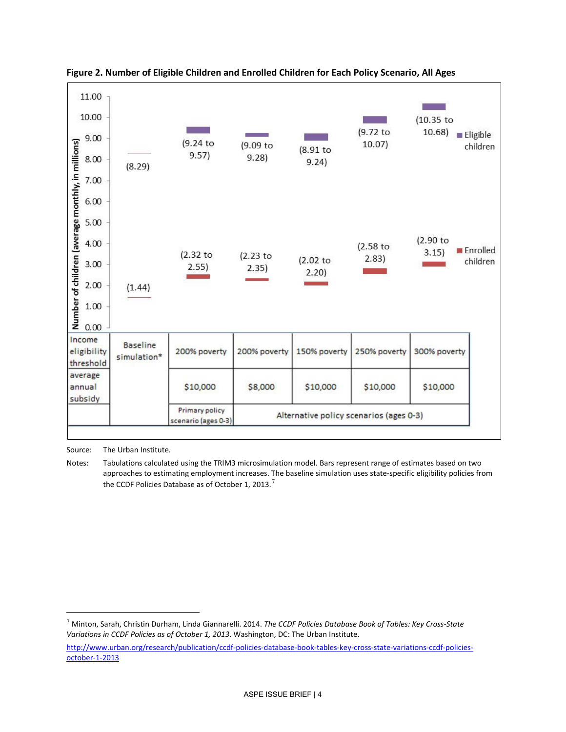

# **Figure 2. Number of Eligible Children and Enrolled Children for Each Policy Scenario, All Ages**

Source: The Urban Institute.

 $\overline{a}$ 

Notes: Tabulations calculated using the TRIM3 microsimulation model. Bars represent range of estimates based on two approaches to estimating employment increases. The baseline simulation uses state-specific eligibility policies from the CCDF Policies Database as of October 1, 2013.<sup>[7](#page-3-0)</sup>

<span id="page-3-0"></span><sup>7</sup> Minton, Sarah, Christin Durham, Linda Giannarelli. 2014. *The CCDF Policies Database Book of Tables: Key Cross-State Variations in CCDF Policies as of October 1, 2013*. Washington, DC: The Urban Institute.

[http://www.urban.org/research/publication/ccdf-policies-database-book-tables-key-cross-state-variations-ccdf-policies](http://www.urban.org/research/publication/ccdf-policies-database-book-tables-key-cross-state-variations-ccdf-policies-october-1-2013)[october-1-2013](http://www.urban.org/research/publication/ccdf-policies-database-book-tables-key-cross-state-variations-ccdf-policies-october-1-2013)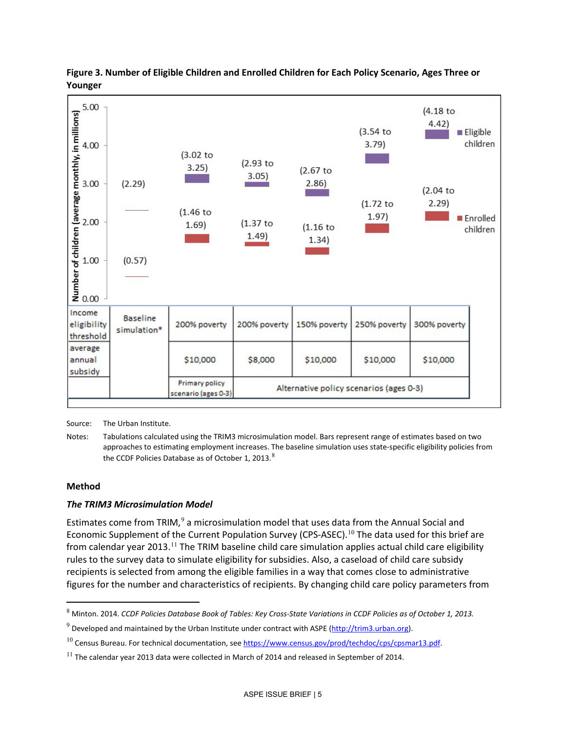

## **Figure 3. Number of Eligible Children and Enrolled Children for Each Policy Scenario, Ages Three or Younger**

Source: The Urban Institute.

Notes: Tabulations calculated using the TRIM3 microsimulation model. Bars represent range of estimates based on two approaches to estimating employment increases. The baseline simulation uses state-specific eligibility policies from the CCDF Policies Database as of October 1, 2013.<sup>[8](#page-4-0)</sup>

## **Method**

 $\overline{a}$ 

# *The TRIM3 Microsimulation Model*

Estimates come from TRIM, $9$  a microsimulation model that uses data from the Annual Social and Economic Supplement of the Current Population Survey (CPS-ASEC).<sup>[10](#page-4-2)</sup> The data used for this brief are from calendar year 2013.<sup>[11](#page-4-3)</sup> The TRIM baseline child care simulation applies actual child care eligibility rules to the survey data to simulate eligibility for subsidies. Also, a caseload of child care subsidy recipients is selected from among the eligible families in a way that comes close to administrative figures for the number and characteristics of recipients. By changing child care policy parameters from

<span id="page-4-0"></span><sup>8</sup> Minton. 2014. *CCDF Policies Database Book of Tables: Key Cross-State Variations in CCDF Policies as of October 1, 2013.*

<span id="page-4-1"></span> $9$  Developed and maintained by the Urban Institute under contract with ASPE ( $\frac{http://trim3.urban.org}{http://trim3.urban.org}$ ).

<span id="page-4-2"></span><sup>&</sup>lt;sup>10</sup> Census Bureau. For technical documentation, see https://www.census.gov/prod/techdoc/cps/cpsmar13.pdf.

<span id="page-4-3"></span> $^{11}$  The calendar vear 2013 data were collected in March of 2014 and released in September of 2014.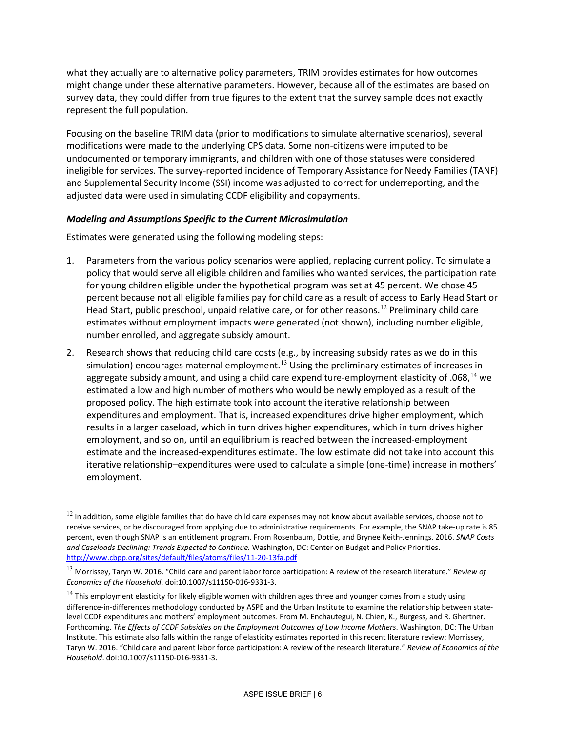what they actually are to alternative policy parameters, TRIM provides estimates for how outcomes might change under these alternative parameters. However, because all of the estimates are based on survey data, they could differ from true figures to the extent that the survey sample does not exactly represent the full population.

Focusing on the baseline TRIM data (prior to modifications to simulate alternative scenarios), several modifications were made to the underlying CPS data. Some non-citizens were imputed to be undocumented or temporary immigrants, and children with one of those statuses were considered ineligible for services. The survey-reported incidence of Temporary Assistance for Needy Families (TANF) and Supplemental Security Income (SSI) income was adjusted to correct for underreporting, and the adjusted data were used in simulating CCDF eligibility and copayments.

#### *Modeling and Assumptions Specific to the Current Microsimulation*

Estimates were generated using the following modeling steps:

 $\overline{a}$ 

- 1. Parameters from the various policy scenarios were applied, replacing current policy. To simulate a policy that would serve all eligible children and families who wanted services, the participation rate for young children eligible under the hypothetical program was set at 45 percent. We chose 45 percent because not all eligible families pay for child care as a result of access to Early Head Start or Head Start, public preschool, unpaid relative care, or for other reasons.<sup>[12](#page-5-0)</sup> Preliminary child care estimates without employment impacts were generated (not shown), including number eligible, number enrolled, and aggregate subsidy amount.
- 2. Research shows that reducing child care costs (e.g., by increasing subsidy rates as we do in this simulation) encourages maternal employment.<sup>[13](#page-5-1)</sup> Using the preliminary estimates of increases in aggregate subsidy amount, and using a child care expenditure-employment elasticity of .068,  $^{14}$  $^{14}$  $^{14}$  we estimated a low and high number of mothers who would be newly employed as a result of the proposed policy. The high estimate took into account the iterative relationship between expenditures and employment. That is, increased expenditures drive higher employment, which results in a larger caseload, which in turn drives higher expenditures, which in turn drives higher employment, and so on, until an equilibrium is reached between the increased-employment estimate and the increased-expenditures estimate. The low estimate did not take into account this iterative relationship–expenditures were used to calculate a simple (one-time) increase in mothers' employment.

<span id="page-5-0"></span> $12$  In addition, some eligible families that do have child care expenses may not know about available services, choose not to receive services, or be discouraged from applying due to administrative requirements. For example, the SNAP take-up rate is 85 percent, even though SNAP is an entitlement program. From Rosenbaum, Dottie, and Brynee Keith-Jennings. 2016. *SNAP Costs and Caseloads Declining: Trends Expected to Continue.* Washington, DC: Center on Budget and Policy Priorities. <http://www.cbpp.org/sites/default/files/atoms/files/11-20-13fa.pdf>

<span id="page-5-1"></span><sup>13</sup> Morrissey, Taryn W. 2016. "Child care and parent labor force participation: A review of the research literature." *Review of Economics of the Household*. doi:10.1007/s11150-016-9331-3.

<span id="page-5-2"></span> $14$  This employment elasticity for likely eligible women with children ages three and younger comes from a study using difference-in-differences methodology conducted by ASPE and the Urban Institute to examine the relationship between statelevel CCDF expenditures and mothers' employment outcomes. From M. Enchautegui, N. Chien, K., Burgess, and R. Ghertner. Forthcoming. *The Effects of CCDF Subsidies on the Employment Outcomes of Low Income Mothers*. Washington, DC: The Urban Institute. This estimate also falls within the range of elasticity estimates reported in this recent literature review: Morrissey, Taryn W. 2016. "Child care and parent labor force participation: A review of the research literature." *Review of Economics of the Household*. doi:10.1007/s11150-016-9331-3.